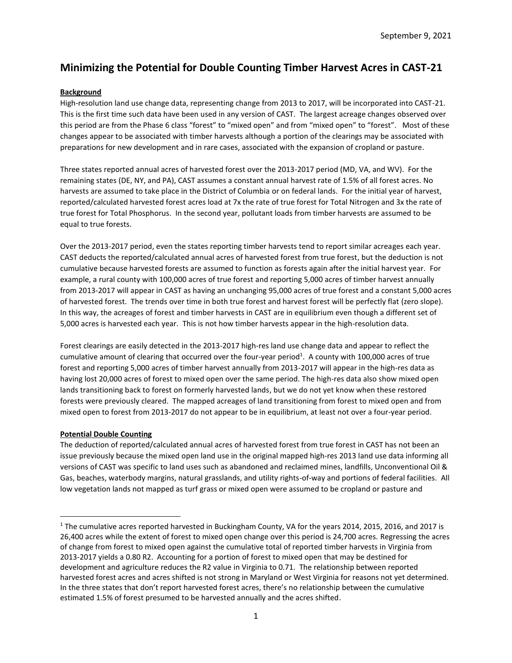# **Minimizing the Potential for Double Counting Timber Harvest Acres in CAST-21**

## **Background**

High-resolution land use change data, representing change from 2013 to 2017, will be incorporated into CAST-21. This is the first time such data have been used in any version of CAST. The largest acreage changes observed over this period are from the Phase 6 class "forest" to "mixed open" and from "mixed open" to "forest". Most of these changes appear to be associated with timber harvests although a portion of the clearings may be associated with preparations for new development and in rare cases, associated with the expansion of cropland or pasture.

Three states reported annual acres of harvested forest over the 2013-2017 period (MD, VA, and WV). For the remaining states (DE, NY, and PA), CAST assumes a constant annual harvest rate of 1.5% of all forest acres. No harvests are assumed to take place in the District of Columbia or on federal lands. For the initial year of harvest, reported/calculated harvested forest acres load at 7x the rate of true forest for Total Nitrogen and 3x the rate of true forest for Total Phosphorus. In the second year, pollutant loads from timber harvests are assumed to be equal to true forests.

Over the 2013-2017 period, even the states reporting timber harvests tend to report similar acreages each year. CAST deducts the reported/calculated annual acres of harvested forest from true forest, but the deduction is not cumulative because harvested forests are assumed to function as forests again after the initial harvest year. For example, a rural county with 100,000 acres of true forest and reporting 5,000 acres of timber harvest annually from 2013-2017 will appear in CAST as having an unchanging 95,000 acres of true forest and a constant 5,000 acres of harvested forest. The trends over time in both true forest and harvest forest will be perfectly flat (zero slope). In this way, the acreages of forest and timber harvests in CAST are in equilibrium even though a different set of 5,000 acres is harvested each year. This is not how timber harvests appear in the high-resolution data.

Forest clearings are easily detected in the 2013-2017 high-res land use change data and appear to reflect the cumulative amount of clearing that occurred over the four-year period<sup>1</sup>. A county with 100,000 acres of true forest and reporting 5,000 acres of timber harvest annually from 2013-2017 will appear in the high-res data as having lost 20,000 acres of forest to mixed open over the same period. The high-res data also show mixed open lands transitioning back to forest on formerly harvested lands, but we do not yet know when these restored forests were previously cleared. The mapped acreages of land transitioning from forest to mixed open and from mixed open to forest from 2013-2017 do not appear to be in equilibrium, at least not over a four-year period.

## **Potential Double Counting**

The deduction of reported/calculated annual acres of harvested forest from true forest in CAST has not been an issue previously because the mixed open land use in the original mapped high-res 2013 land use data informing all versions of CAST was specific to land uses such as abandoned and reclaimed mines, landfills, Unconventional Oil & Gas, beaches, waterbody margins, natural grasslands, and utility rights-of-way and portions of federal facilities. All low vegetation lands not mapped as turf grass or mixed open were assumed to be cropland or pasture and

<sup>1</sup> The cumulative acres reported harvested in Buckingham County, VA for the years 2014, 2015, 2016, and 2017 is 26,400 acres while the extent of forest to mixed open change over this period is 24,700 acres. Regressing the acres of change from forest to mixed open against the cumulative total of reported timber harvests in Virginia from 2013-2017 yields a 0.80 R2. Accounting for a portion of forest to mixed open that may be destined for development and agriculture reduces the R2 value in Virginia to 0.71. The relationship between reported harvested forest acres and acres shifted is not strong in Maryland or West Virginia for reasons not yet determined. In the three states that don't report harvested forest acres, there's no relationship between the cumulative estimated 1.5% of forest presumed to be harvested annually and the acres shifted.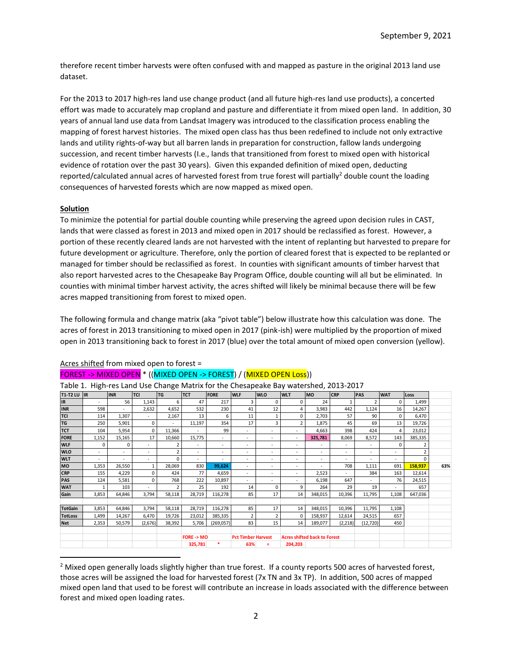therefore recent timber harvests were often confused with and mapped as pasture in the original 2013 land use dataset.

For the 2013 to 2017 high-res land use change product (and all future high-res land use products), a concerted effort was made to accurately map cropland and pasture and differentiate it from mixed open land. In addition, 30 years of annual land use data from Landsat Imagery was introduced to the classification process enabling the mapping of forest harvest histories. The mixed open class has thus been redefined to include not only extractive lands and utility rights-of-way but all barren lands in preparation for construction, fallow lands undergoing succession, and recent timber harvests (I.e., lands that transitioned from forest to mixed open with historical evidence of rotation over the past 30 years). Given this expanded definition of mixed open, deducting reported/calculated annual acres of harvested forest from true forest will partially<sup>2</sup> double count the loading consequences of harvested forests which are now mapped as mixed open.

#### **Solution**

To minimize the potential for partial double counting while preserving the agreed upon decision rules in CAST, lands that were classed as forest in 2013 and mixed open in 2017 should be reclassified as forest. However, a portion of these recently cleared lands are not harvested with the intent of replanting but harvested to prepare for future development or agriculture. Therefore, only the portion of cleared forest that is expected to be replanted or managed for timber should be reclassified as forest. In counties with significant amounts of timber harvest that also report harvested acres to the Chesapeake Bay Program Office, double counting will all but be eliminated. In counties with minimal timber harvest activity, the acres shifted will likely be minimal because there will be few acres mapped transitioning from forest to mixed open.

The following formula and change matrix (aka "pivot table") below illustrate how this calculation was done. The acres of forest in 2013 transitioning to mixed open in 2017 (pink-ish) were multiplied by the proportion of mixed open in 2013 transitioning back to forest in 2017 (blue) over the total amount of mixed open conversion (yellow).

| Table 1. Tilgii-les Lanu Ose Change Matrix for the Chesapeake Bay Watersheu, 2013-2017 |       |            |                          |                |            |                          |                           |                          |                                     |                          |            |                |                          |          |     |
|----------------------------------------------------------------------------------------|-------|------------|--------------------------|----------------|------------|--------------------------|---------------------------|--------------------------|-------------------------------------|--------------------------|------------|----------------|--------------------------|----------|-----|
| T1-T2 LU $\ $ IR                                                                       |       | <b>INR</b> | <b>TCI</b>               | <b>TG</b>      | <b>TCT</b> | <b>FORE</b>              | <b>WLF</b>                | <b>WLO</b>               | <b>WLT</b>                          | lmo.                     | <b>CRP</b> | <b>PAS</b>     | <b>WAT</b>               | Loss     |     |
| <b>IR</b>                                                                              | ٠     | 56         | 1,143                    | 6              | 47         | 217                      | 3                         | $\Omega$                 | 0                                   | 24                       |            | $\overline{2}$ | <sup>0</sup>             | 1,499    |     |
| <b>INR</b>                                                                             | 598   | ٠          | 2,632                    | 4,652          | 532        | 230                      | 41                        | 12                       | 4                                   | 3,983                    | 442        | 1,124          | 16                       | 14,267   |     |
| <b>TCI</b>                                                                             | 114   | 1,307      |                          | 2,167          | 13         | 6                        | 11                        |                          | 0                                   | 2.703                    | 57         | 90             | 0                        | 6,470    |     |
| TG                                                                                     | 250   | 5,901      | $\Omega$                 |                | 11,197     | 354                      | 17                        | 3                        | 2                                   | 1,875                    | 45         | 69             | 13                       | 19,726   |     |
| <b>TCT</b>                                                                             | 104   | 5,954      | 0                        | 11,366         | ٠          | 99                       | ٠                         | ٠                        | $\sim$                              | 4.663                    | 398        | 424            | 4                        | 23,012   |     |
| <b>FORE</b>                                                                            | 1,152 | 15,165     | 17                       | 10,660         | 15,775     | ٠                        | ٠                         | ٠                        | $\sim$                              | 325,781                  | 8,069      | 8,572          | 143                      | 385,335  |     |
| <b>WLF</b>                                                                             | 0     | 0          | ÷.                       | 2              | ٠          | $\overline{\phantom{a}}$ | ٠                         | $\sim$                   | ٠                                   |                          | ٠          | ٠              | 0                        | 2        |     |
| <b>WLO</b>                                                                             |       | $\sim$     | ٠                        | $\overline{2}$ | ٠          | ٠                        | ٠                         | ٠                        | $\sim$                              |                          | ٠          | ٠              | $\overline{\phantom{a}}$ |          |     |
| <b>WLT</b>                                                                             | ٠     | ٠          | $\overline{\phantom{a}}$ | $\Omega$       | ٠          | ٠                        | ٠                         | $\overline{\phantom{a}}$ | ٠                                   | $\overline{\phantom{a}}$ | ٠          | ٠              | $\overline{\phantom{a}}$ | $\Omega$ |     |
| MO                                                                                     | 1,353 | 26,550     |                          | 28,069         | 830        | 99,624                   | ٠                         | ٠                        | ٠                                   |                          | 708        | 1,111          | 691                      | 158,937  | 63% |
| <b>CRP</b>                                                                             | 155   | 4,229      | $\Omega$                 | 424            | 77         | 4,659                    | ٠                         | $\overline{\phantom{a}}$ | ٠                                   | 2,523                    | ٠          | 384            | 163                      | 12,614   |     |
| PAS                                                                                    | 124   | 5,581      | $\Omega$                 | 768            | 222        | 10,897                   |                           |                          |                                     | 6,198                    | 647        |                | 76                       | 24,515   |     |
| <b>WAT</b>                                                                             | 1     | 103        |                          | $\overline{2}$ | 25         | 192                      | 14                        | 0                        | 9                                   | 264                      | 29         | 19             | $\sim$                   | 657      |     |
| Gain                                                                                   | 3,853 | 64,846     | 3,794                    | 58,118         | 28,719     | 116,278                  | 85                        | 17                       | 14                                  | 348,015                  | 10,396     | 11,795         | 1,108                    | 647,036  |     |
|                                                                                        |       |            |                          |                |            |                          |                           |                          |                                     |                          |            |                |                          |          |     |
| <b>TotGain</b>                                                                         | 3,853 | 64,846     | 3,794                    | 58,118         | 28,719     | 116,278                  | 85                        | 17                       | 14                                  | 348,015                  | 10,396     | 11,795         | 1,108                    |          |     |
| <b>TotLoss</b>                                                                         | 1,499 | 14,267     | 6,470                    | 19,726         | 23,012     | 385,335                  | $\overline{2}$            | $\overline{2}$           | 0                                   | 158,937                  | 12,614     | 24,515         | 657                      |          |     |
| <b>Net</b>                                                                             | 2,353 | 50,579     | (2,676)                  | 38,392         | 5,706      | (269,057)                | 83                        | 15                       | 14                                  | 189,077                  | (2,218)    | (12, 720)      | 450                      |          |     |
|                                                                                        |       |            |                          |                |            |                          |                           |                          |                                     |                          |            |                |                          |          |     |
|                                                                                        |       |            |                          |                | FORE -> MO |                          | <b>Pct Timber Harvest</b> |                          | <b>Acres shifted back to Forest</b> |                          |            |                |                          |          |     |
|                                                                                        |       |            |                          |                | 325,781    | *                        | 63%                       | Ξ                        | 204,203                             |                          |            |                |                          |          |     |

#### Acres shifted from mixed open to forest =

### FOREST -> MIXED OPEN \* ((MIXED OPEN -> FOREST) / (MIXED OPEN Loss))

Table 1. High-res Land Use Change Matrix for the Chesapeake Bay watershed, 2013-2017

 $2$  Mixed open generally loads slightly higher than true forest. If a county reports 500 acres of harvested forest, those acres will be assigned the load for harvested forest (7x TN and 3x TP). In addition, 500 acres of mapped mixed open land that used to be forest will contribute an increase in loads associated with the difference between forest and mixed open loading rates.